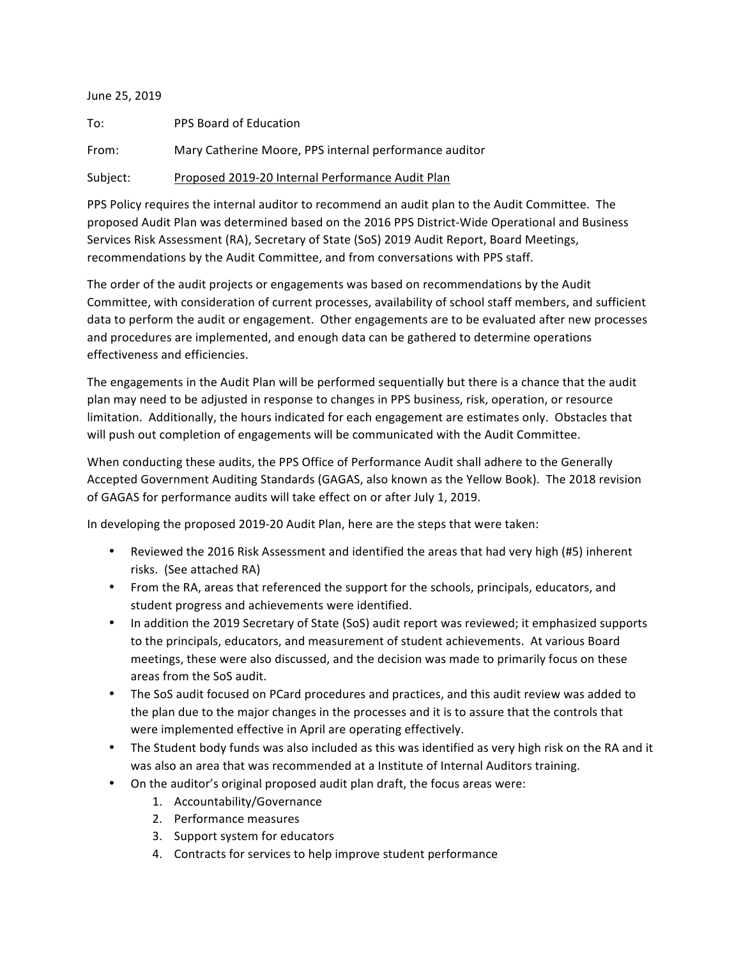## June 25, 2019

| To:      | PPS Board of Education                                 |
|----------|--------------------------------------------------------|
| From:    | Mary Catherine Moore, PPS internal performance auditor |
| Subject: | Proposed 2019-20 Internal Performance Audit Plan       |

PPS Policy requires the internal auditor to recommend an audit plan to the Audit Committee. The proposed Audit Plan was determined based on the 2016 PPS District-Wide Operational and Business Services Risk Assessment (RA), Secretary of State (SoS) 2019 Audit Report, Board Meetings, recommendations by the Audit Committee, and from conversations with PPS staff.

The order of the audit projects or engagements was based on recommendations by the Audit Committee, with consideration of current processes, availability of school staff members, and sufficient data to perform the audit or engagement. Other engagements are to be evaluated after new processes and procedures are implemented, and enough data can be gathered to determine operations effectiveness and efficiencies.

The engagements in the Audit Plan will be performed sequentially but there is a chance that the audit plan may need to be adjusted in response to changes in PPS business, risk, operation, or resource limitation. Additionally, the hours indicated for each engagement are estimates only. Obstacles that will push out completion of engagements will be communicated with the Audit Committee.

When conducting these audits, the PPS Office of Performance Audit shall adhere to the Generally Accepted Government Auditing Standards (GAGAS, also known as the Yellow Book). The 2018 revision of GAGAS for performance audits will take effect on or after July 1, 2019.

In developing the proposed 2019-20 Audit Plan, here are the steps that were taken:

- Reviewed the 2016 Risk Assessment and identified the areas that had very high (#5) inherent risks. (See attached RA)
- From the RA, areas that referenced the support for the schools, principals, educators, and student progress and achievements were identified.
- In addition the 2019 Secretary of State (SoS) audit report was reviewed; it emphasized supports to the principals, educators, and measurement of student achievements. At various Board meetings, these were also discussed, and the decision was made to primarily focus on these areas from the SoS audit.
- The SoS audit focused on PCard procedures and practices, and this audit review was added to the plan due to the major changes in the processes and it is to assure that the controls that were implemented effective in April are operating effectively.
- The Student body funds was also included as this was identified as very high risk on the RA and it was also an area that was recommended at a Institute of Internal Auditors training.
- On the auditor's original proposed audit plan draft, the focus areas were:
	- 1. Accountability/Governance
	- 2. Performance measures
	- 3. Support system for educators
	- 4. Contracts for services to help improve student performance